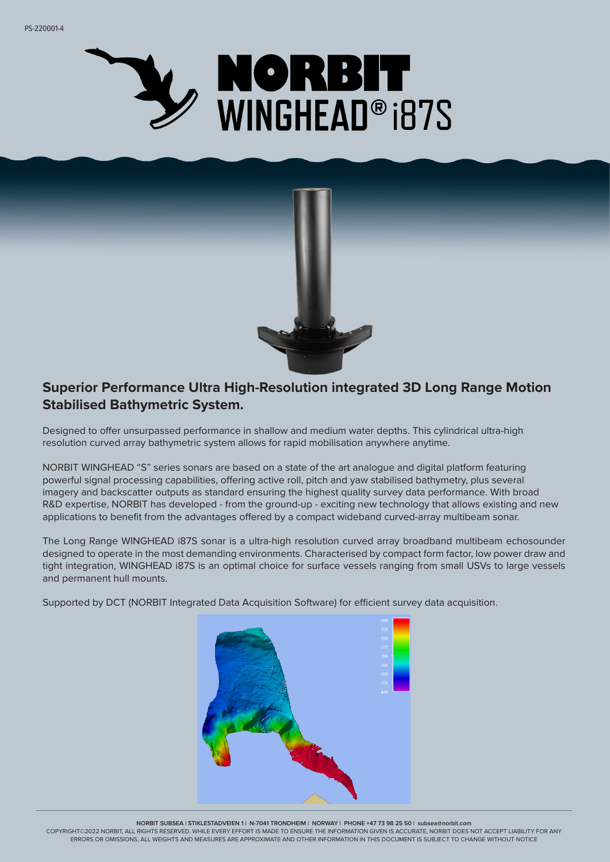



## **Superior Performance Ultra High-Resolution integrated 3D Long Range Motion Stabilised Bathymetric System.**

Designed to offer unsurpassed performance in shallow and medium water depths. This cylindrical ultra-high resolution curved array bathymetric system allows for rapid mobilisation anywhere anytime.

NORBIT WINGHEAD "S" series sonars are based on a state of the art analogue and digital platform featuring powerful signal processing capabilities, offering active roll, pitch and yaw stabilised bathymetry, plus several imagery and backscatter outputs as standard ensuring the highest quality survey data performance. With broad R&D expertise, NORBIT has developed - from the ground-up - exciting new technology that allows existing and new applications to benefit from the advantages offered by a compact wideband curved-array multibeam sonar.

The Long Range WINGHEAD i87S sonar is a ultra-high resolution curved array broadband multibeam echosounder designed to operate in the most demanding environments. Characterised by compact form factor, low power draw and tight integration, WINGHEAD i87S is an optimal choice for surface vessels ranging from small USVs to large vessels and permanent hull mounts.

Supported by DCT (NORBIT Integrated Data Acquisition Software) for efficient survey data acquisition.



**NORBIT SUBSEA | STIKLESTADVEIEN 1 | N-7041 TRONDHEIM | NORWAY | PHONE +47 73 98 25 50 | subsea@norbit.com**

COPYRIGHT©2022 NORBIT, ALL RIGHTS RESERVED. WHILE EVERY EFFORT IS MADE TO ENSURE THE INFORMATION GIVEN IS ACCURATE, NORBIT DOES NOT ACCEPT LIABILITY FOR ANY ERRORS OR OMISSIONS, ALL WEIGHTS AND MEASURES ARE APPROXIMATE AND OTHER INFORMATION IN THIS DOCUMENT IS SUBJECT TO CHANGE WITHOUT NOTICE